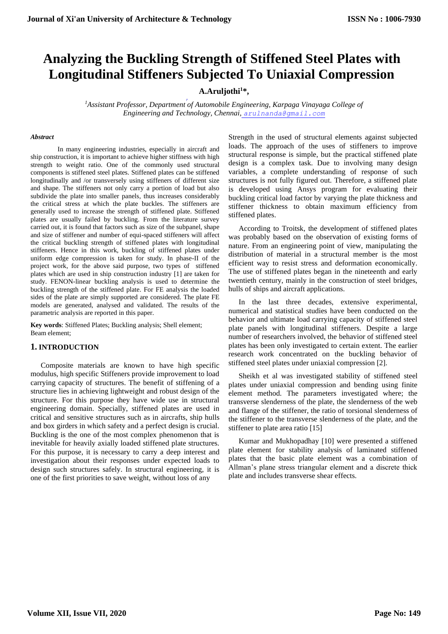# **Analyzing the Buckling Strength of Stiffened Steel Plates with Longitudinal Stiffeners Subjected To Uniaxial Compression**

## **A.Aruljothi<sup>1</sup>\*,**

*<sup>1</sup>Assistant Professor, Department of Automobile Engineering, Karpaga Vinayaga College of Engineering and Technology, Chennai, arulnanda@gmail.com*

#### *Abstract*

In many engineering industries, especially in aircraft and ship construction, it is important to achieve higher stiffness with high strength to weight ratio. One of the commonly used structural components is stiffened steel plates. Stiffened plates can be stiffened longitudinally and /or transversely using stiffeners of different size and shape. The stiffeners not only carry a portion of load but also subdivide the plate into smaller panels, thus increases considerably the critical stress at which the plate buckles. The stiffeners are generally used to increase the strength of stiffened plate. Stiffened plates are usually failed by buckling. From the literature survey carried out, it is found that factors such as size of the subpanel, shape and size of stiffener and number of equi-spaced stiffeners will affect the critical buckling strength of stiffened plates with longitudinal stiffeners. Hence in this work, buckling of stiffened plates under uniform edge compression is taken for study. In phase-II of the project work, for the above said purpose, two types of stiffened plates which are used in ship construction industry [1] are taken for study. FENON-linear buckling analysis is used to determine the buckling strength of the stiffened plate. For FE analysis the loaded sides of the plate are simply supported are considered. The plate FE models are generated, analysed and validated. The results of the parametric analysis are reported in this paper.

**Key words**: Stiffened Plates; Buckling analysis; Shell element; Beam element;

## **1. INTRODUCTION**

Composite materials are known to have high specific modulus, high specific Stiffeners provide improvement to load carrying capacity of structures. The benefit of stiffening of a structure lies in achieving lightweight and robust design of the structure. For this purpose they have wide use in structural engineering domain. Specially, stiffened plates are used in critical and sensitive structures such as in aircrafts, ship hulls and box girders in which safety and a perfect design is crucial. Buckling is the one of the most complex phenomenon that is inevitable for heavily axially loaded stiffened plate structures. For this purpose, it is necessary to carry a deep interest and investigation about their responses under expected loads to design such structures safely. In structural engineering, it is one of the first priorities to save weight, without loss of any

Strength in the used of structural elements against subjected loads. The approach of the uses of stiffeners to improve structural response is simple, but the practical stiffened plate design is a complex task. Due to involving many design variables, a complete understanding of response of such structures is not fully figured out. Therefore, a stiffened plate is developed using Ansys program for evaluating their buckling critical load factor by varying the plate thickness and stiffener thickness to obtain maximum efficiency from stiffened plates.

According to Troitsk, the development of stiffened plates was probably based on the observation of existing forms of nature. From an engineering point of view, manipulating the distribution of material in a structural member is the most efficient way to resist stress and deformation economically. The use of stiffened plates began in the nineteenth and early twentieth century, mainly in the construction of steel bridges, hulls of ships and aircraft applications.

In the last three decades, extensive experimental, numerical and statistical studies have been conducted on the behavior and ultimate load carrying capacity of stiffened steel plate panels with longitudinal stiffeners. Despite a large number of researchers involved, the behavior of stiffened steel plates has been only investigated to certain extent. The earlier research work concentrated on the buckling behavior of stiffened steel plates under uniaxial compression [2].

Sheikh et al was investigated stability of stiffened steel plates under uniaxial compression and bending using finite element method. The parameters investigated where; the transverse slenderness of the plate, the slenderness of the web and flange of the stiffener, the ratio of torsional slenderness of the stiffener to the transverse slenderness of the plate, and the stiffener to plate area ratio [15]

Kumar and Mukhopadhay [10] were presented a stiffened plate element for stability analysis of laminated stiffened plates that the basic plate element was a combination of Allman's plane stress triangular element and a discrete thick plate and includes transverse shear effects.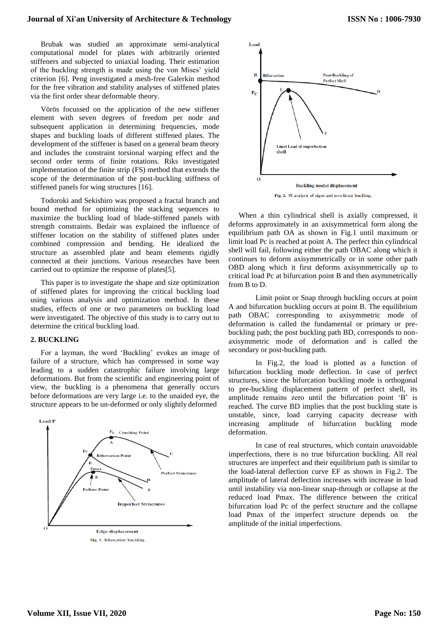#### **Journal of Xi'an University of Architecture & Technology**

Brubak was studied an approximate semi-analytical computational model for plates with arbitrarily oriented stiffeners and subjected to uniaxial loading. Their estimation of the buckling strength is made using the von Mises' yield criterion [6]. Peng investigated a mesh-free Galerkin method for the free vibration and stability analyses of stiffened plates via the first order shear deformable theory.

Vörös focussed on the application of the new stiffener element with seven degrees of freedom per node and subsequent application in determining frequencies, mode shapes and buckling loads of different stiffened plates. The development of the stiffener is based on a general beam theory and includes the constraint torsional warping effect and the second order terms of finite rotations. Riks investigated implementation of the finite strip (FS) method that extends the scope of the determination of the post-buckling stiffness of stiffened panels for wing structures [16].

Todoroki and Sekishiro was proposed a fractal branch and bound method for optimizing the stacking sequences to maximize the buckling load of blade-stiffened panels with strength constraints. Bedair was explained the influence of stiffener location on the stability of stiffened plates under combined compression and bending. He idealized the structure as assembled plate and beam elements rigidly connected at their junctions. Various researches have been carried out to optimize the response of plates[5].

This paper is to investigate the shape and size optimization of stiffened plates for improving the critical buckling load using various analysis and optimization method. In these studies, effects of one or two parameters on buckling load were investigated. The objective of this study is to carry out to determine the critical buckling load.

#### **2. BUCKLING**

For a layman, the word 'Buckling' evokes an image of failure of a structure, which has compressed in some way leading to a sudden catastrophic failure involving large deformations. But from the scientific and engineering point of view, the buckling is a phenomena that generally occurs before deformations are very large i.e. to the unaided eye, the structure appears to be un-deformed or only slightly deformed





When a thin cylindrical shell is axially compressed, it deforms approximately in an axisymmetrical form along the equilibrium path OA as shown in Fig.1 until maximum or limit load Pc is reached at point A. The perfect thin cylindrical shell will fail, following either the path OBAC along which it continues to deform axisymmetrically or in some other path OBD along which it first deforms axisymmetrically up to critical load Pc at bifurcation point B and then asymmetrically from B to D.

Limit point or Snap through buckling occurs at point A and bifurcation buckling occurs at point B. The equilibrium path OBAC corresponding to axisymmetric mode of deformation is called the fundamental or primary or prebuckling path; the post buckling path BD, corresponds to nonaxisymmetric mode of deformation and is called the secondary or post-buckling path.

In Fig.2, the load is plotted as a function of bifurcation buckling mode deflection. In case of perfect structures, since the bifurcation buckling mode is orthogonal to pre-buckling displacement pattern of perfect shell, its amplitude remains zero until the bifurcation point 'B' is reached. The curve BD implies that the post buckling state is unstable, since, load carrying capacity decrease with increasing amplitude of bifurcation buckling mode deformation.

In case of real structures, which contain unavoidable imperfections, there is no true bifurcation buckling. All real structures are imperfect and their equilibrium path is similar to the load-lateral deflection curve EF as shown in Fig.2. The amplitude of lateral deflection increases with increase in load until instability via non-linear snap-through or collapse at the reduced load Pmax. The difference between the critical bifurcation load Pc of the perfect structure and the collapse load Pmax of the imperfect structure depends on the amplitude of the initial imperfections.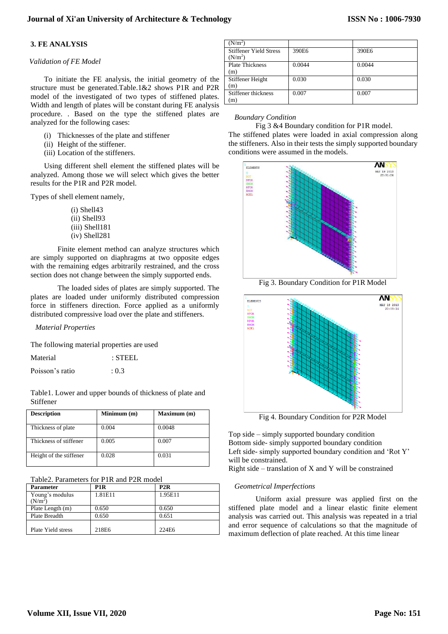## **3. FE ANALYSIS**

#### *Validation of FE Model*

To initiate the FE analysis, the initial geometry of the structure must be generated.Table.1&2 shows P1R and P2R model of the investigated of two types of stiffened plates. Width and length of plates will be constant during FE analysis procedure. . Based on the type the stiffened plates are analyzed for the following cases:

- (i) Thicknesses of the plate and stiffener
- (ii) Height of the stiffener.
- (iii) Location of the stiffeners.

Using different shell element the stiffened plates will be analyzed. Among those we will select which gives the better results for the P1R and P2R model.

Types of shell element namely,

(i) Shell43 (ii) Shell93 (iii) Shell181 (iv) Shell281

Finite element method can analyze structures which are simply supported on diaphragms at two opposite edges with the remaining edges arbitrarily restrained, and the cross section does not change between the simply supported ends.

The loaded sides of plates are simply supported. The plates are loaded under uniformly distributed compression force in stiffeners direction. Force applied as a uniformly distributed compressive load over the plate and stiffeners.

*Material Properties*

The following material properties are used

| Material        | $:$ STEEL |
|-----------------|-----------|
| Poisson's ratio | : 0.3     |

Table1. Lower and upper bounds of thickness of plate and Stiffener

| <b>Description</b>      | Minimum(m) | Maximum (m) |
|-------------------------|------------|-------------|
| Thickness of plate      | 0.004      | 0.0048      |
| Thickness of stiffener  | 0.005      | 0.007       |
| Height of the stiffener | 0.028      | 0.031       |

Table2. Parameters for P1R and P2R model

| <b>Parameter</b>                       | P <sub>1</sub> R | P2R     |  |
|----------------------------------------|------------------|---------|--|
| Young's modulus<br>(N/m <sup>2</sup> ) | 1.81E11          | 1.95E11 |  |
| Plate Length (m)                       | 0.650            | 0.650   |  |
| Plate Breadth                          | 0.650            | 0.651   |  |
| Plate Yield stress                     | 218E6            | 224E6   |  |

| $(N/m^2)$                                  |        |        |
|--------------------------------------------|--------|--------|
| <b>Stiffener Yield Stress</b><br>$(N/m^2)$ | 390E6  | 390E6  |
| <b>Plate Thickness</b><br>(m)              | 0.0044 | 0.0044 |
| Stiffener Height<br>(m)                    | 0.030  | 0.030  |
| Stiffener thickness<br>(m)                 | 0.007  | 0.007  |

#### *Boundary Condition*

Fig 3 &4 Boundary condition for P1R model.

The stiffened plates were loaded in axial compression along the stiffeners. Also in their tests the simply supported boundary conditions were assumed in the models.



Fig 3. Boundary Condition for P1R Model



Fig 4. Boundary Condition for P2R Model

Top side – simply supported boundary condition Bottom side- simply supported boundary condition Left side- simply supported boundary condition and 'Rot Y' will be constrained.

Right side – translation of  $X$  and  $Y$  will be constrained

## *Geometrical Imperfections*

Uniform axial pressure was applied first on the stiffened plate model and a linear elastic finite element analysis was carried out. This analysis was repeated in a trial and error sequence of calculations so that the magnitude of maximum deflection of plate reached. At this time linear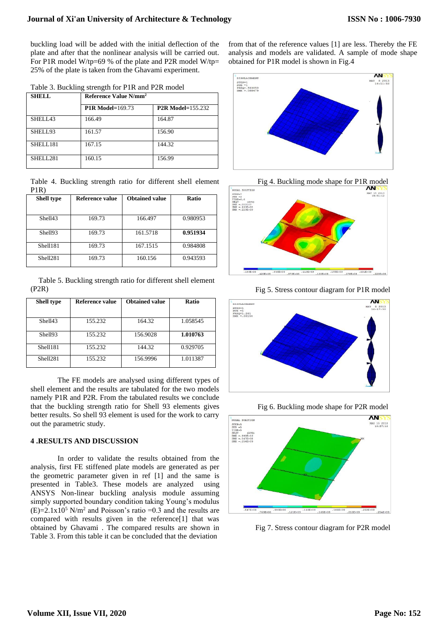buckling load will be added with the initial deflection of the plate and after that the nonlinear analysis will be carried out. For P1R model W/tp=69 % of the plate and P2R model W/tp= 25% of the plate is taken from the Ghavami experiment.

| <b>SHELL</b> | Reference Value N/mm <sup>2</sup> |                          |
|--------------|-----------------------------------|--------------------------|
|              | <b>P1R Model=169.73</b>           | <b>P2R Model=155.232</b> |
| SHELL43      | 166.49                            | 164.87                   |
| SHELL93      | 161.57                            | 156.90                   |
| SHELL181     | 167.15                            | 144.32                   |
| SHELL281     | 160.15                            | 156.99                   |

Table 4. Buckling strength ratio for different shell element P1R)

| <b>Shell type</b>    | Reference value | <b>Obtained value</b> | Ratio    |
|----------------------|-----------------|-----------------------|----------|
|                      |                 |                       |          |
| Shell43              | 169.73          | 166.497               | 0.980953 |
| Shell93              | 169.73          | 161.5718              | 0.951934 |
| Shell181             | 169.73          | 167.1515              | 0.984808 |
| Shell <sub>281</sub> | 169.73          | 160.156               | 0.943593 |

Table 5. Buckling strength ratio for different shell element (P2R)

| <b>Shell type</b>    | Reference value | <b>Obtained value</b> | <b>Ratio</b> |
|----------------------|-----------------|-----------------------|--------------|
| Shell43              | 155.232         | 164.32                | 1.058545     |
| Shell93              | 155.232         | 156.9028              | 1.010763     |
| Shell181             | 155.232         | 144.32                | 0.929705     |
| Shell <sub>281</sub> | 155.232         | 156.9996              | 1.011387     |

The FE models are analysed using different types of shell element and the results are tabulated for the two models namely P1R and P2R. From the tabulated results we conclude that the buckling strength ratio for Shell 93 elements gives better results. So shell 93 element is used for the work to carry out the parametric study.

## **4 .RESULTS AND DISCUSSION**

In order to validate the results obtained from the analysis, first FE stiffened plate models are generated as per the geometric parameter given in ref [1] and the same is presented in Table3. These models are analyzed using ANSYS Non-linear buckling analysis module assuming simply supported boundary condition taking Young's modulus  $(E)=2.1x10^5$  N/m<sup>2</sup> and Poisson's ratio =0.3 and the results are compared with results given in the reference[1] that was obtained by Ghavami . The compared results are shown in Table 3. From this table it can be concluded that the deviation

from that of the reference values [1] are less. Thereby the FE analysis and models are validated. A sample of mode shape obtained for P1R model is shown in Fig.4





Fig 5. Stress contour diagram for P1R model



Fig 6. Buckling mode shape for P2R model



Fig 7. Stress contour diagram for P2R model